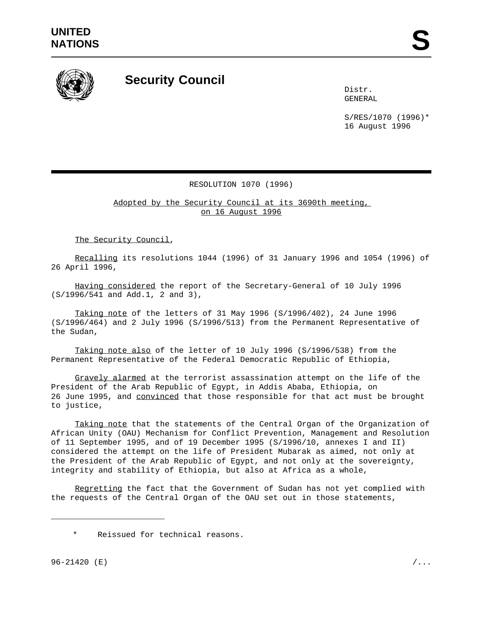

## **Security Council**

Distr. GENERAL

S/RES/1070 (1996)\* 16 August 1996

## RESOLUTION 1070 (1996)

Adopted by the Security Council at its 3690th meeting, on 16 August 1996

The Security Council,

Recalling its resolutions 1044 (1996) of 31 January 1996 and 1054 (1996) of 26 April 1996,

Having considered the report of the Secretary-General of 10 July 1996 (S/1996/541 and Add.1, 2 and 3),

Taking note of the letters of 31 May 1996 (S/1996/402), 24 June 1996 (S/1996/464) and 2 July 1996 (S/1996/513) from the Permanent Representative of the Sudan,

Taking note also of the letter of 10 July 1996 (S/1996/538) from the Permanent Representative of the Federal Democratic Republic of Ethiopia,

Gravely alarmed at the terrorist assassination attempt on the life of the President of the Arab Republic of Egypt, in Addis Ababa, Ethiopia, on 26 June 1995, and convinced that those responsible for that act must be brought to justice,

Taking note that the statements of the Central Organ of the Organization of African Unity (OAU) Mechanism for Conflict Prevention, Management and Resolution of 11 September 1995, and of 19 December 1995 (S/1996/10, annexes I and II) considered the attempt on the life of President Mubarak as aimed, not only at the President of the Arab Republic of Egypt, and not only at the sovereignty, integrity and stability of Ethiopia, but also at Africa as a whole,

Regretting the fact that the Government of Sudan has not yet complied with the requests of the Central Organ of the OAU set out in those statements,

\_\_\_\_\_\_\_\_\_\_\_\_\_\_\_\_\_\_\_\_\_\_\_\_

Reissued for technical reasons.